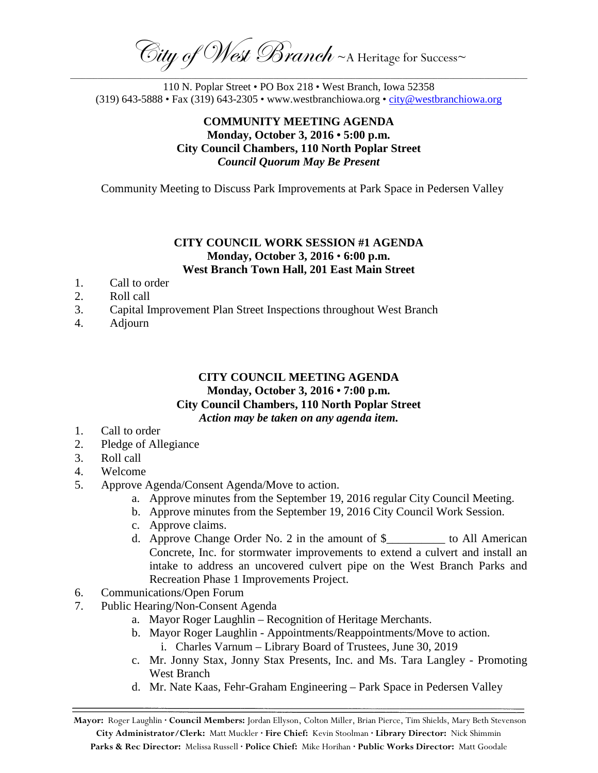City of West Branch ~ A Heritage for Success~ \_\_\_\_\_\_\_\_\_\_\_\_\_\_\_\_\_\_\_\_\_\_\_\_\_\_\_\_\_\_\_\_\_\_\_\_\_\_\_\_\_\_\_\_\_\_\_\_\_\_\_\_\_\_\_\_\_\_\_\_\_\_\_\_\_\_\_\_\_\_\_\_\_\_\_\_\_\_\_\_\_\_\_\_\_\_\_\_\_\_\_\_\_\_\_\_\_\_\_\_\_\_\_\_\_\_\_\_\_\_\_\_\_\_\_\_\_

110 N. Poplar Street • PO Box 218 • West Branch, Iowa 52358 (319) 643-5888 • Fax (319) 643-2305 • www.westbranchiowa.org •  $\underline{city@westbranchiowa.org}$ 

# **COMMUNITY MEETING AGENDA Monday, October 3, 2016 • 5:00 p.m. City Council Chambers, 110 North Poplar Street** *Council Quorum May Be Present*

Community Meeting to Discuss Park Improvements at Park Space in Pedersen Valley

#### **CITY COUNCIL WORK SESSION #1 AGENDA Monday, October 3, 2016** • **6:00 p.m. West Branch Town Hall, 201 East Main Street**

- 1. Call to order
- 2. Roll call
- 3. Capital Improvement Plan Street Inspections throughout West Branch
- 4. Adjourn

### **CITY COUNCIL MEETING AGENDA Monday, October 3, 2016 • 7:00 p.m. City Council Chambers, 110 North Poplar Street** *Action may be taken on any agenda item.*

- 1. Call to order
- 2. Pledge of Allegiance
- 3. Roll call
- 4. Welcome
- 5. Approve Agenda/Consent Agenda/Move to action.
	- a. Approve minutes from the September 19, 2016 regular City Council Meeting.
	- b. Approve minutes from the September 19, 2016 City Council Work Session.
	- c. Approve claims.
	- d. Approve Change Order No. 2 in the amount of \$ The Manuscript Constraints and American Concrete, Inc. for stormwater improvements to extend a culvert and install an intake to address an uncovered culvert pipe on the West Branch Parks and Recreation Phase 1 Improvements Project.
- 6. Communications/Open Forum
- 7. Public Hearing/Non-Consent Agenda
	- a. Mayor Roger Laughlin Recognition of Heritage Merchants.
	- b. Mayor Roger Laughlin Appointments/Reappointments/Move to action. i. Charles Varnum – Library Board of Trustees, June 30, 2019
	- c. Mr. Jonny Stax, Jonny Stax Presents, Inc. and Ms. Tara Langley Promoting West Branch
	- d. Mr. Nate Kaas, Fehr-Graham Engineering Park Space in Pedersen Valley

**Mayor:** Roger Laughlin **· Council Members:** Jordan Ellyson, Colton Miller, Brian Pierce, Tim Shields, Mary Beth Stevenson **City Administrator/Clerk:** Matt Muckler **· Fire Chief:** Kevin Stoolman **· Library Director:** Nick Shimmin **Parks & Rec Director:** Melissa Russell **· Police Chief:** Mike Horihan **· Public Works Director:** Matt Goodale